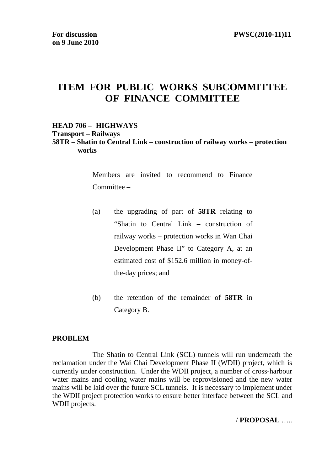# **ITEM FOR PUBLIC WORKS SUBCOMMITTEE OF FINANCE COMMITTEE**

#### **HEAD 706 – HIGHWAYS Transport – Railways 58TR – Shatin to Central Link – construction of railway works – protection works**

Members are invited to recommend to Finance Committee –

- (a) the upgrading of part of **58TR** relating to "Shatin to Central Link – construction of railway works – protection works in Wan Chai Development Phase II" to Category A, at an estimated cost of \$152.6 million in money-ofthe-day prices; and
- (b) the retention of the remainder of **58TR** in Category B.

#### **PROBLEM**

 The Shatin to Central Link (SCL) tunnels will run underneath the reclamation under the Wai Chai Development Phase II (WDII) project, which is currently under construction. Under the WDII project, a number of cross-harbour water mains and cooling water mains will be reprovisioned and the new water mains will be laid over the future SCL tunnels. It is necessary to implement under the WDII project protection works to ensure better interface between the SCL and WDII projects.

#### / **PROPOSAL** …..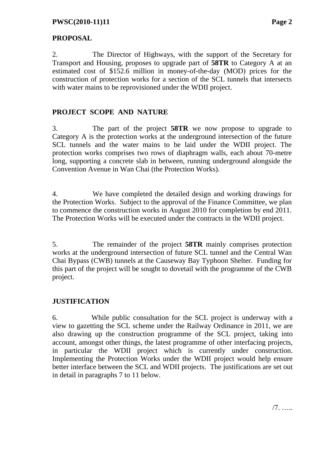### **PROPOSAL**

2. The Director of Highways, with the support of the Secretary for Transport and Housing, proposes to upgrade part of **58TR** to Category A at an estimated cost of \$152.6 million in money-of-the-day (MOD) prices for the construction of protection works for a section of the SCL tunnels that intersects with water mains to be reprovisioned under the WDII project.

# **PROJECT SCOPE AND NATURE**

3. The part of the project **58TR** we now propose to upgrade to Category A is the protection works at the underground intersection of the future SCL tunnels and the water mains to be laid under the WDII project. The protection works comprises two rows of diaphragm walls, each about 70-metre long, supporting a concrete slab in between, running underground alongside the Convention Avenue in Wan Chai (the Protection Works).

4. We have completed the detailed design and working drawings for the Protection Works. Subject to the approval of the Finance Committee, we plan to commence the construction works in August 2010 for completion by end 2011. The Protection Works will be executed under the contracts in the WDII project.

5. The remainder of the project **58TR** mainly comprises protection works at the underground intersection of future SCL tunnel and the Central Wan Chai Bypass (CWB) tunnels at the Causeway Bay Typhoon Shelter. Funding for this part of the project will be sought to dovetail with the programme of the CWB project.

# **JUSTIFICATION**

6. While public consultation for the SCL project is underway with a view to gazetting the SCL scheme under the Railway Ordinance in 2011, we are also drawing up the construction programme of the SCL project, taking into account, amongst other things, the latest programme of other interfacing projects, in particular the WDII project which is currently under construction. Implementing the Protection Works under the WDII project would help ensure better interface between the SCL and WDII projects. The justifications are set out in detail in paragraphs 7 to 11 below.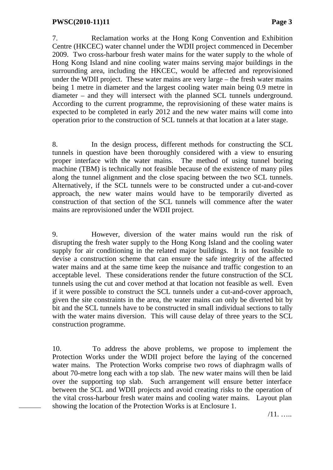7. Reclamation works at the Hong Kong Convention and Exhibition Centre (HKCEC) water channel under the WDII project commenced in December 2009. Two cross-harbour fresh water mains for the water supply to the whole of Hong Kong Island and nine cooling water mains serving major buildings in the surrounding area, including the HKCEC, would be affected and reprovisioned under the WDII project. These water mains are very large – the fresh water mains being 1 metre in diameter and the largest cooling water main being 0.9 metre in diameter – and they will intersect with the planned SCL tunnels underground. According to the current programme, the reprovisioning of these water mains is expected to be completed in early 2012 and the new water mains will come into operation prior to the construction of SCL tunnels at that location at a later stage.

8. In the design process, different methods for constructing the SCL tunnels in question have been thoroughly considered with a view to ensuring proper interface with the water mains. The method of using tunnel boring machine (TBM) is technically not feasible because of the existence of many piles along the tunnel alignment and the close spacing between the two SCL tunnels. Alternatively, if the SCL tunnels were to be constructed under a cut-and-cover approach, the new water mains would have to be temporarily diverted as construction of that section of the SCL tunnels will commence after the water mains are reprovisioned under the WDII project.

9. However, diversion of the water mains would run the risk of disrupting the fresh water supply to the Hong Kong Island and the cooling water supply for air conditioning in the related major buildings. It is not feasible to devise a construction scheme that can ensure the safe integrity of the affected water mains and at the same time keep the nuisance and traffic congestion to an acceptable level. These considerations render the future construction of the SCL tunnels using the cut and cover method at that location not feasible as well. Even if it were possible to construct the SCL tunnels under a cut-and-cover approach, given the site constraints in the area, the water mains can only be diverted bit by bit and the SCL tunnels have to be constructed in small individual sections to tally with the water mains diversion. This will cause delay of three years to the SCL construction programme.

10. To address the above problems, we propose to implement the Protection Works under the WDII project before the laying of the concerned water mains. The Protection Works comprise two rows of diaphragm walls of about 70-metre long each with a top slab. The new water mains will then be laid over the supporting top slab. Such arrangement will ensure better interface between the SCL and WDII projects and avoid creating risks to the operation of the vital cross-harbour fresh water mains and cooling water mains. Layout plan showing the location of the Protection Works is at Enclosure 1.

/11. …..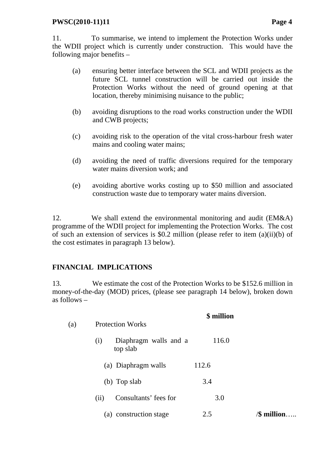#### **PWSC(2010-11)11** Page 4

11. To summarise, we intend to implement the Protection Works under the WDII project which is currently under construction. This would have the following major benefits –

- (a) ensuring better interface between the SCL and WDII projects as the future SCL tunnel construction will be carried out inside the Protection Works without the need of ground opening at that location, thereby minimising nuisance to the public;
- (b) avoiding disruptions to the road works construction under the WDII and CWB projects;
- (c) avoiding risk to the operation of the vital cross-harbour fresh water mains and cooling water mains;
- (d) avoiding the need of traffic diversions required for the temporary water mains diversion work; and
- (e) avoiding abortive works costing up to \$50 million and associated construction waste due to temporary water mains diversion.

12. We shall extend the environmental monitoring and audit (EM&A) programme of the WDII project for implementing the Protection Works. The cost of such an extension of services is \$0.2 million (please refer to item (a)(ii)(b) of the cost estimates in paragraph 13 below).

#### **FINANCIAL IMPLICATIONS**

13. We estimate the cost of the Protection Works to be \$152.6 million in money-of-the-day (MOD) prices, (please see paragraph 14 below), broken down as follows –

| (a) | <b>Protection Works</b>                  | \$ million |               |
|-----|------------------------------------------|------------|---------------|
|     | Diaphragm walls and a<br>(i)<br>top slab | 116.0      |               |
|     | (a) Diaphragm walls                      | 112.6      |               |
|     | (b) Top slab                             | 3.4        |               |
|     | Consultants' fees for<br>(ii)            | 3.0        |               |
|     | construction stage<br>(a)                | 2.5        | /\$ million…… |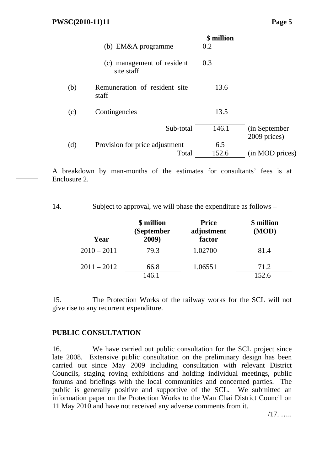| (c) management of resident<br>0.3<br>site staff<br>(b)<br>Remuneration of resident site<br>13.6<br>staff<br>13.5<br>Contingencies<br>(c)<br>146.1<br>Sub-total<br>(in September<br>2009 prices)<br>(d)<br>Provision for price adjustment<br>6.5<br>152.6<br>(in MOD prices)<br>Total | (b) EM&A programme | \$ million<br>0.2 |  |
|--------------------------------------------------------------------------------------------------------------------------------------------------------------------------------------------------------------------------------------------------------------------------------------|--------------------|-------------------|--|
|                                                                                                                                                                                                                                                                                      |                    |                   |  |
|                                                                                                                                                                                                                                                                                      |                    |                   |  |
|                                                                                                                                                                                                                                                                                      |                    |                   |  |
|                                                                                                                                                                                                                                                                                      |                    |                   |  |
|                                                                                                                                                                                                                                                                                      |                    |                   |  |
|                                                                                                                                                                                                                                                                                      |                    |                   |  |

A breakdown by man-months of the estimates for consultants' fees is at Enclosure 2.

14. Subject to approval, we will phase the expenditure as follows –

| Year          | \$ million<br>(September<br>2009) | <b>Price</b><br>adjustment<br>factor | \$ million<br>(MOD) |
|---------------|-----------------------------------|--------------------------------------|---------------------|
| $2010 - 2011$ | 79.3                              | 1.02700                              | 81.4                |
| $2011 - 2012$ | 66.8<br>146.1                     | 1.06551                              | 71.2<br>152.6       |

15. The Protection Works of the railway works for the SCL will not give rise to any recurrent expenditure.

#### **PUBLIC CONSULTATION**

16. We have carried out public consultation for the SCL project since late 2008. Extensive public consultation on the preliminary design has been carried out since May 2009 including consultation with relevant District Councils, staging roving exhibitions and holding individual meetings, public forums and briefings with the local communities and concerned parties. The public is generally positive and supportive of the SCL. We submitted an information paper on the Protection Works to the Wan Chai District Council on 11 May 2010 and have not received any adverse comments from it.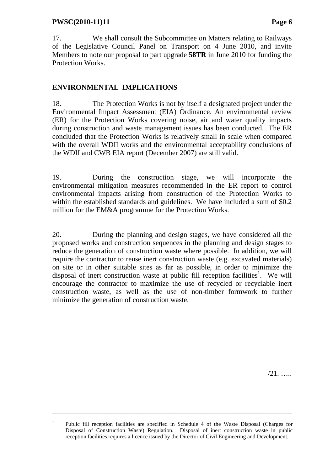17. We shall consult the Subcommittee on Matters relating to Railways of the Legislative Council Panel on Transport on 4 June 2010, and invite Members to note our proposal to part upgrade **58TR** in June 2010 for funding the Protection Works.

# **ENVIRONMENTAL IMPLICATIONS**

18. The Protection Works is not by itself a designated project under the Environmental Impact Assessment (EIA) Ordinance. An environmental review (ER) for the Protection Works covering noise, air and water quality impacts during construction and waste management issues has been conducted. The ER concluded that the Protection Works is relatively small in scale when compared with the overall WDII works and the environmental acceptability conclusions of the WDII and CWB EIA report (December 2007) are still valid.

19. During the construction stage, we will incorporate the environmental mitigation measures recommended in the ER report to control environmental impacts arising from construction of the Protection Works to within the established standards and guidelines. We have included a sum of \$0.2 million for the EM&A programme for the Protection Works.

20. During the planning and design stages, we have considered all the proposed works and construction sequences in the planning and design stages to reduce the generation of construction waste where possible. In addition, we will require the contractor to reuse inert construction waste (e.g. excavated materials) on site or in other suitable sites as far as possible, in order to minimize the disposal of inert construction waste at public fill reception facilities<sup>1</sup>. We will encourage the contractor to maximize the use of recycled or recyclable inert construction waste, as well as the use of non-timber formwork to further minimize the generation of construction waste.

/21. …..

\_\_\_\_\_\_\_\_\_\_\_\_\_\_\_\_\_\_\_\_\_\_\_\_\_\_\_\_\_\_\_\_\_\_\_\_\_\_\_\_\_\_\_\_\_\_\_\_\_\_\_\_\_\_\_\_\_\_\_\_\_\_\_\_\_\_\_\_\_\_\_\_\_\_\_\_\_\_\_\_\_\_\_\_\_

<sup>&</sup>lt;sup>1</sup> Public fill reception facilities are specified in Schedule 4 of the Waste Disposal (Charges for Disposal of Construction Waste) Regulation. Disposal of inert construction waste in public reception facilities requires a licence issued by the Director of Civil Engineering and Development.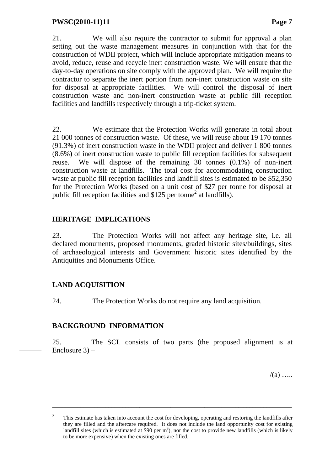21. We will also require the contractor to submit for approval a plan setting out the waste management measures in conjunction with that for the construction of WDII project, which will include appropriate mitigation means to avoid, reduce, reuse and recycle inert construction waste. We will ensure that the day-to-day operations on site comply with the approved plan. We will require the contractor to separate the inert portion from non-inert construction waste on site for disposal at appropriate facilities. We will control the disposal of inert construction waste and non-inert construction waste at public fill reception facilities and landfills respectively through a trip-ticket system.

22. We estimate that the Protection Works will generate in total about 21 000 tonnes of construction waste. Of these, we will reuse about 19 170 tonnes (91.3%) of inert construction waste in the WDII project and deliver 1 800 tonnes (8.6%) of inert construction waste to public fill reception facilities for subsequent reuse. We will dispose of the remaining 30 tonnes (0.1%) of non-inert construction waste at landfills. The total cost for accommodating construction waste at public fill reception facilities and landfill sites is estimated to be \$52,350 for the Protection Works (based on a unit cost of \$27 per tonne for disposal at public fill reception facilities and \$125 per tonne<sup>2</sup> at landfills).

### **HERITAGE IMPLICATIONS**

23. The Protection Works will not affect any heritage site, i.e. all declared monuments, proposed monuments, graded historic sites/buildings, sites of archaeological interests and Government historic sites identified by the Antiquities and Monuments Office.

#### **LAND ACQUISITION**

24. The Protection Works do not require any land acquisition.

#### **BACKGROUND INFORMATION**

25. The SCL consists of two parts (the proposed alignment is at Enclosure 3) –

 $/(a)$  …

\_\_\_\_\_\_\_\_\_\_\_\_\_\_\_\_\_\_\_\_\_\_\_\_\_\_\_\_\_\_\_\_\_\_\_\_\_\_\_\_\_\_\_\_\_\_\_\_\_\_\_\_\_\_\_\_\_\_\_\_\_\_\_\_\_\_\_\_\_\_\_\_\_\_\_\_\_\_\_\_\_\_\_\_\_

<sup>&</sup>lt;sup>2</sup> This estimate has taken into account the cost for developing, operating and restoring the landfills after they are filled and the aftercare required. It does not include the land opportunity cost for existing landfill sites (which is estimated at \$90 per  $m<sup>3</sup>$ ), nor the cost to provide new landfills (which is likely to be more expensive) when the existing ones are filled.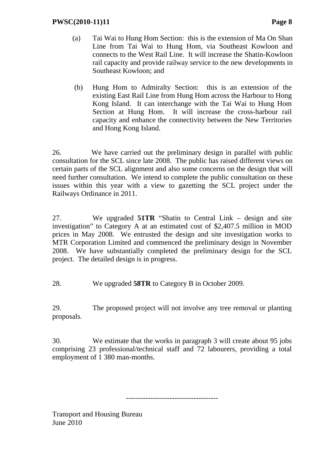- (a) Tai Wai to Hung Hom Section: this is the extension of Ma On Shan Line from Tai Wai to Hung Hom, via Southeast Kowloon and connects to the West Rail Line. It will increase the Shatin-Kowloon rail capacity and provide railway service to the new developments in Southeast Kowloon; and
- (b) Hung Hom to Admiralty Section: this is an extension of the existing East Rail Line from Hung Hom across the Harbour to Hong Kong Island. It can interchange with the Tai Wai to Hung Hom Section at Hung Hom. It will increase the cross-harbour rail capacity and enhance the connectivity between the New Territories and Hong Kong Island.

26. We have carried out the preliminary design in parallel with public consultation for the SCL since late 2008. The public has raised different views on certain parts of the SCL alignment and also some concerns on the design that will need further consultation. We intend to complete the public consultation on these issues within this year with a view to gazetting the SCL project under the Railways Ordinance in 2011.

27. We upgraded **51TR** "Shatin to Central Link – design and site investigation" to Category A at an estimated cost of \$2,407.5 million in MOD prices in May 2008. We entrusted the design and site investigation works to MTR Corporation Limited and commenced the preliminary design in November 2008. We have substantially completed the preliminary design for the SCL project. The detailed design is in progress.

28. We upgraded **58TR** to Category B in October 2009.

29. The proposed project will not involve any tree removal or planting proposals.

30. We estimate that the works in paragraph 3 will create about 95 jobs comprising 23 professional/technical staff and 72 labourers, providing a total employment of 1 380 man-months.

--------------------------------------

Transport and Housing Bureau June 2010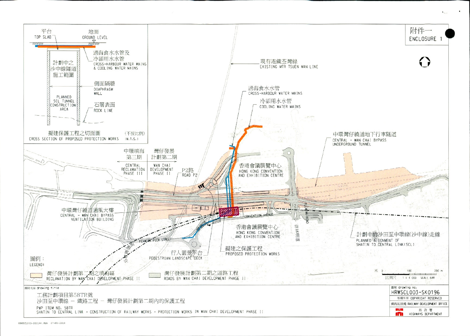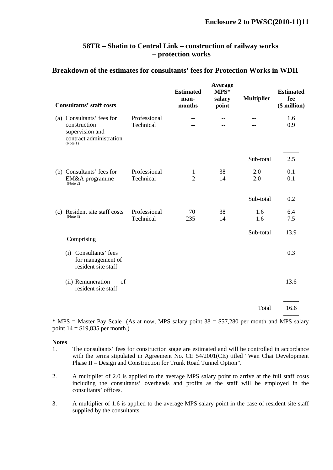#### **58TR – Shatin to Central Link – construction of railway works – protection works**

#### **Breakdown of the estimates for consultants' fees for Protection Works in WDII**

| <b>Consultants' staff costs</b>                                                                     |                           | <b>Estimated</b><br>man-<br>months | Average<br>$MPS*$<br>salary<br>point | <b>Multiplier</b> | <b>Estimated</b><br>fee<br>(\$ million) |
|-----------------------------------------------------------------------------------------------------|---------------------------|------------------------------------|--------------------------------------|-------------------|-----------------------------------------|
| (a) Consultants' fees for<br>construction<br>supervision and<br>contract administration<br>(Note 1) | Professional<br>Technical | --                                 |                                      |                   | 1.6<br>0.9                              |
|                                                                                                     |                           |                                    |                                      | Sub-total         | 2.5                                     |
| (b) Consultants' fees for<br>EM&A programme<br>(Note 2)                                             | Professional<br>Technical | 1<br>$\overline{2}$                | 38<br>14                             | 2.0<br>2.0        | 0.1<br>0.1                              |
|                                                                                                     |                           |                                    |                                      | Sub-total         | 0.2                                     |
| (c) Resident site staff costs<br>(Note 3)                                                           | Professional<br>Technical | 70<br>235                          | 38<br>14                             | 1.6<br>1.6        | 6.4<br>7.5                              |
| Comprising                                                                                          |                           |                                    |                                      | Sub-total         | 13.9                                    |
| (i) Consultants' fees<br>for management of<br>resident site staff                                   |                           |                                    |                                      |                   | 0.3                                     |
| (ii) Remuneration<br>of<br>resident site staff                                                      |                           |                                    |                                      |                   | 13.6                                    |
|                                                                                                     |                           |                                    |                                      | Total             | 16.6                                    |
|                                                                                                     |                           |                                    |                                      |                   |                                         |

 $*$  MPS = Master Pay Scale (As at now, MPS salary point 38 = \$57,280 per month and MPS salary point  $14 = $19,835$  per month.)

#### **Notes**

- 1. The consultants' fees for construction stage are estimated and will be controlled in accordance with the terms stipulated in Agreement No. CE 54/2001(CE) titled "Wan Chai Development Phase II – Design and Construction for Trunk Road Tunnel Option".
- 2. A multiplier of 2.0 is applied to the average MPS salary point to arrive at the full staff costs including the consultants' overheads and profits as the staff will be employed in the consultants' offices.
- 3. A multiplier of 1.6 is applied to the average MPS salary point in the case of resident site staff supplied by the consultants.